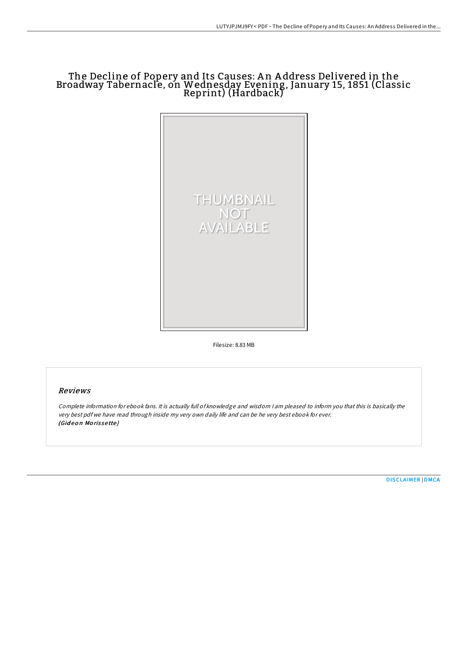# The Decline of Popery and Its Causes: A n A ddress Delivered in the Broadway Tabernacle, on Wednesday Evening, January 15, 1851 (Classic Reprint) (Hardback)



Filesize: 8.83 MB

## Reviews

Complete information for ebook fans. It is actually full of knowledge and wisdom <sup>I</sup> am pleased to inform you that this is basically the very best pdf we have read through inside my very own daily life and can be he very best ebook for ever. (Gideon Morissette)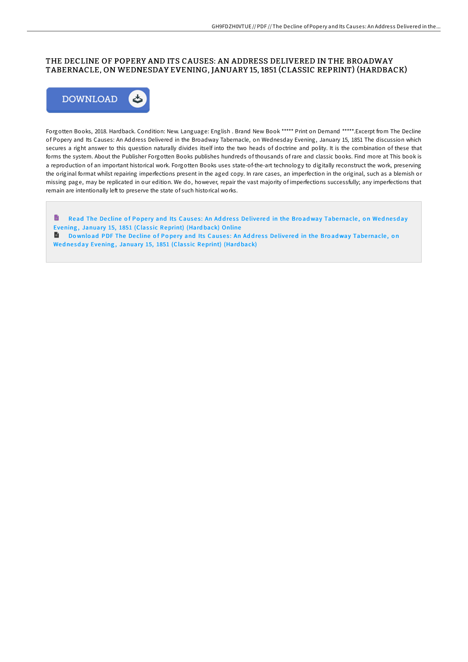# THE DECLINE OF POPERY AND ITS CAUSES: AN ADDRESS DELIVERED IN THE BROADWAY TABERNACLE, ON WEDNESDAY EVENING, JANUARY 15, 1851 (CLASSIC REPRINT) (HARDBACK)



Forgotten Books, 2018. Hardback. Condition: New. Language: English . Brand New Book \*\*\*\*\* Print on Demand \*\*\*\*\*.Excerpt from The Decline of Popery and Its Causes: An Address Delivered in the Broadway Tabernacle, on Wednesday Evening, January 15, 1851 The discussion which secures a right answer to this question naturally divides itself into the two heads of doctrine and polity. It is the combination of these that forms the system. About the Publisher Forgotten Books publishes hundreds of thousands of rare and classic books. Find more at This book is a reproduction of an important historical work. Forgotten Books uses state-of-the-art technology to digitally reconstruct the work, preserving the original format whilst repairing imperfections present in the aged copy. In rare cases, an imperfection in the original, such as a blemish or missing page, may be replicated in our edition. We do, however, repair the vast majority of imperfections successfully; any imperfections that remain are intentionally left to preserve the state of such historical works.

B Read The Decline of Popery and Its Causes: An Address Delivered in the Broadway Tabernacle, on Wednesday Evening, January 15, 1851 (Classic [Reprint\)](http://almighty24.tech/the-decline-of-popery-and-its-causes-an-address--2.html) (Hardback) Online

**Download PDF The Decline of Popery and Its Causes: An Address Delivered in the Broadway Tabernacle, on** Wed nesday Evening, January 15, 1851 (Classic [Reprint\)](http://almighty24.tech/the-decline-of-popery-and-its-causes-an-address--2.html) (Hardback)